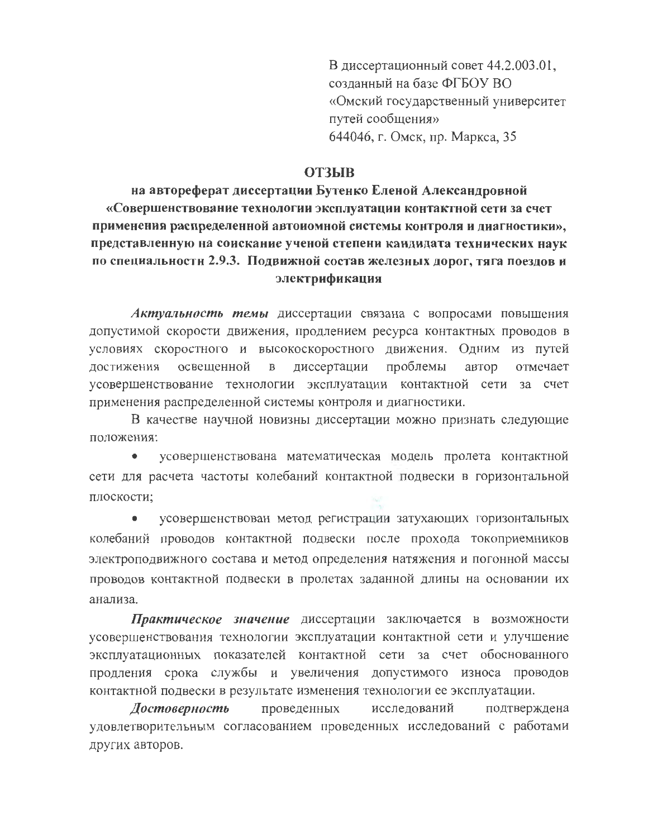В диссертационный совет 44.2.003.01, созданный на базе ФГБОУ ВО «Омский государственный университет путей сообщения» 644046, г. Омск, пр. Маркса, 35

## **ОТЗЫВ**

на автореферат диссертации Бутенко Еленой Александровной «Совершенствование технологии эксплуатации контактной сети за счет применения распределенной автоиомной системы контроля и диагностики», представленную на соискание ученой степени кандидата технических наук по специальности 2.9.3. Подвижной состав железных дорог, тяга поездов и электрификация

Актуальность темы диссертации связана с вопросами повышения допустимой скорости движения, продлением ресурса контактных проводов в условиях скоростного и высокоскоростного движения. Одним из путей достижения освещенной диссертации проблемы автор отмечает  $\mathbf{B}$ усовершенствование технологии эксплуатации контактной сети за счет применения распределенной системы контроля и диагностики.

В качестве научной новизны диссертации можно признать следующие положения:

усовершенствована математическая модель пролета контактной  $\bullet$ сети для расчета частоты колебаний контактной подвески в горизонтальной плоскости:

усовершенствован метод регистрации затухающих горизонтальных колебаний проводов контактной подвески после прохода токоприемников электроподвижного состава и метод определения натяжения и погонной массы проводов контактной подвески в пролетах заданной длины на основании их анализа.

Практическое значение диссертации заключается в возможности усовершенствования технологии эксплуатации контактной сети и улучшение эксплуатационных показателей контактной сети за счет обоснованного продления срока службы и увеличения допустимого износа проводов контактной подвески в результате изменения технологии ее эксплуатации.

Достоверность проведенных исследований подтверждена удовлетворительным согласованием проведенных исследований с работами других авторов.